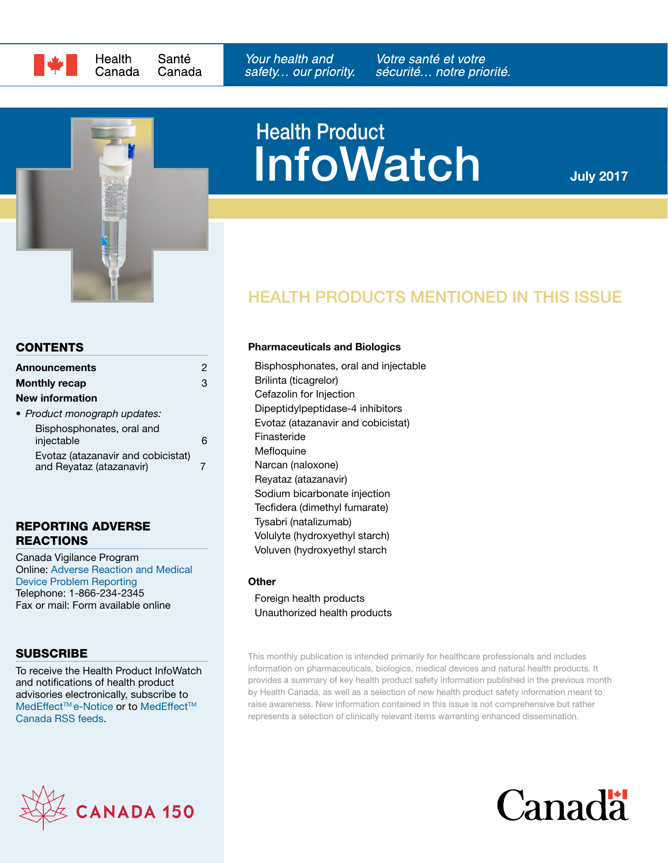



# **InfoWatch** Health Product

July 2017

# HEALTH PRODUCTS MENTIONED IN THIS ISSUE

#### **CONTENTS**

| <b>Announcements</b>                                           |   |
|----------------------------------------------------------------|---|
| <b>Monthly recap</b>                                           | З |
| New information                                                |   |
| • Product monograph updates:                                   |   |
| Bisphosphonates, oral and<br>injectable                        |   |
| Evotaz (atazanavir and cobicistat)<br>and Reyataz (atazanavir) |   |

#### REPORTING ADVERSE REACTIONS

Canada Vigilance Program Online: [Adverse Reaction and Medical](https://www.canada.ca/en/health-canada/services/drugs-health-products/medeffect-canada/adverse-reaction-reporting.html)  [Device Problem Reporting](https://www.canada.ca/en/health-canada/services/drugs-health-products/medeffect-canada/adverse-reaction-reporting.html) Telephone: 1-866-234-2345 Fax or mail: Form available online

### **SUBSCRIBE**

To receive the Health Product InfoWatch and notifications of health product advisories electronically, subscribe to MedEffect™e-Notice or to MedEffect™ [Canada RSS feeds.](https://www.canada.ca/en/health-canada/services/drugs-health-products/medeffect-canada/stay-informed-medeffect-canada/medeffect-canada-rss-feeds.html)



#### Pharmaceuticals and Biologics

[Bisphosphonates, oral and injectable](#page-5-0)  [Brilinta \(ticagrelor\)](#page-2-0) [Cefazolin for Injection](#page-2-1)  [Dipeptidylpeptidase-4 inhibitors](#page-2-2) [Evotaz \(atazanavir and cobicistat\)](#page-6-0)  [Finasteride](#page-2-3) **[Mefloquine](#page-3-0)** [Narcan \(naloxone\)](#page-3-1)  [Reyataz \(atazanavir\)](#page-6-0)  [Sodium bicarbonate injection](#page-3-2) [Tecfidera \(dimethyl fumarate\)](#page-3-3) [Tysabri \(natalizumab\)](#page-4-0) [Volulyte \(hydroxyethyl starch\)](#page-4-1) [Voluven \(hydroxyethyl starch](#page-4-1)

#### **Other**

[Foreign health products](#page-2-4) [Unauthorized health products](#page-4-2)

This monthly publication is intended primarily for healthcare professionals and includes information on pharmaceuticals, biologics, medical devices and natural health products. It provides a summary of key health product safety information published in the previous month by Health Canada, as well as a selection of new health product safety information meant to raise awareness. New information contained in this issue is not comprehensive but rather represents a selection of clinically relevant items warranting enhanced dissemination.

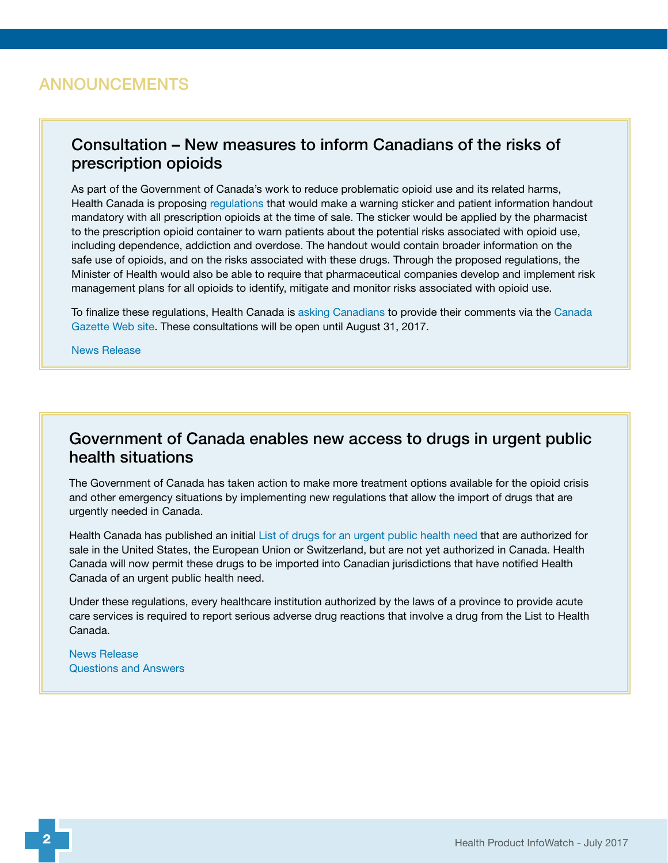### <span id="page-1-0"></span>ANNOUNCEMENTS

### Consultation – New measures to inform Canadians of the risks of prescription opioids

As part of the Government of Canada's work to reduce problematic opioid use and its related harms, Health Canada is proposing [regulations](http://www.gazette.gc.ca/rp-pr/p1/2017/2017-06-17/html/reg8-eng.php) that would make a warning sticker and patient information handout mandatory with all prescription opioids at the time of sale. The sticker would be applied by the pharmacist to the prescription opioid container to warn patients about the potential risks associated with opioid use, including dependence, addiction and overdose. The handout would contain broader information on the safe use of opioids, and on the risks associated with these drugs. Through the proposed regulations, the Minister of Health would also be able to require that pharmaceutical companies develop and implement risk management plans for all opioids to identify, mitigate and monitor risks associated with opioid use.

To finalize these regulations, Health Canada is [asking Canadians](https://www.canada.ca/en/health-canada/programs/consultation-opioids-handout-warning-sticker.html) to provide their comments via the [Canada](http://www.gazette.gc.ca/rp-pr/p1/2017/2017-06-17/html/reg8-eng.php)  [Gazette Web site.](http://www.gazette.gc.ca/rp-pr/p1/2017/2017-06-17/html/reg8-eng.php) These consultations will be open until August 31, 2017.

[News Release](https://www.canada.ca/en/health-canada/news/2017/06/new_measures_to_informcanadiansoftherisksofprescriptionopioidsou.html) 

### Government of Canada enables new access to drugs in urgent public health situations

The Government of Canada has taken action to make more treatment options available for the opioid crisis and other emergency situations by implementing new regulations that allow the import of drugs that are urgently needed in Canada.

Health Canada has published an initial L[ist of drugs for an urgent public health need](https://www.canada.ca/en/health-canada/services/drugs-health-products/access-drugs-exceptional-circumstances/list-drugs-urgent-public-health-need.html) that are authorized for sale in the United States, the European Union or Switzerland, but are not yet authorized in Canada. Health Canada will now permit these drugs to be imported into Canadian jurisdictions that have notified Health Canada of an urgent public health need.

Under these regulations, every healthcare institution authorized by the laws of a province to provide acute care services is required to report serious adverse drug reactions that involve a drug from the List to Health Canada.

[News Release](https://www.canada.ca/en/health-canada/news/2017/06/government_of_canadaenablesnewaccesstodrugsinurgentpublichealths.html)  [Questions and Answers](https://www.canada.ca/en/health-canada/services/drugs-health-products/access-drugs-exceptional-circumstances/questions-answers.html)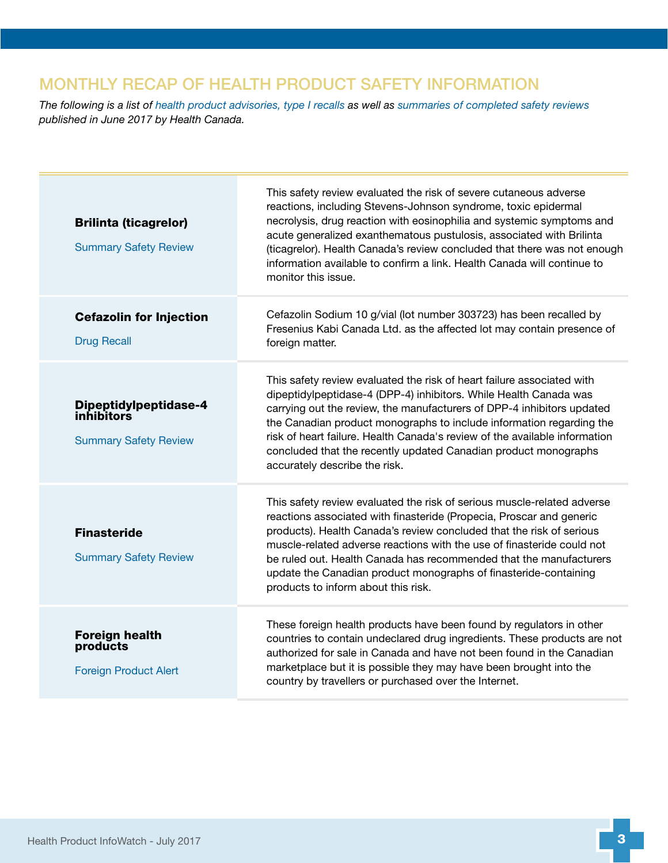# <span id="page-2-5"></span>MONTHLY RECAP OF HEALTH PRODUCT SAFETY INFORMATION

*The following is a list of [health product advisories, type I recalls](http://www.healthycanadians.gc.ca/recall-alert-rappel-avis/index-eng.php?cat=3) as well as [summaries of completed safety reviews](https://www.canada.ca/en/health-canada/services/drugs-health-products/medeffect-canada/safety-reviews.html) published in June 2017 by Health Canada.*

<span id="page-2-4"></span><span id="page-2-3"></span><span id="page-2-2"></span><span id="page-2-1"></span><span id="page-2-0"></span>

| <b>Brilinta (ticagrelor)</b><br><b>Summary Safety Review</b>        | This safety review evaluated the risk of severe cutaneous adverse<br>reactions, including Stevens-Johnson syndrome, toxic epidermal<br>necrolysis, drug reaction with eosinophilia and systemic symptoms and<br>acute generalized exanthematous pustulosis, associated with Brilinta<br>(ticagrelor). Health Canada's review concluded that there was not enough<br>information available to confirm a link. Health Canada will continue to<br>monitor this issue.                 |
|---------------------------------------------------------------------|------------------------------------------------------------------------------------------------------------------------------------------------------------------------------------------------------------------------------------------------------------------------------------------------------------------------------------------------------------------------------------------------------------------------------------------------------------------------------------|
| <b>Cefazolin for Injection</b><br><b>Drug Recall</b>                | Cefazolin Sodium 10 g/vial (lot number 303723) has been recalled by<br>Fresenius Kabi Canada Ltd. as the affected lot may contain presence of<br>foreign matter.                                                                                                                                                                                                                                                                                                                   |
| Dipeptidylpeptidase-4<br>inhibitors<br><b>Summary Safety Review</b> | This safety review evaluated the risk of heart failure associated with<br>dipeptidylpeptidase-4 (DPP-4) inhibitors. While Health Canada was<br>carrying out the review, the manufacturers of DPP-4 inhibitors updated<br>the Canadian product monographs to include information regarding the<br>risk of heart failure. Health Canada's review of the available information<br>concluded that the recently updated Canadian product monographs<br>accurately describe the risk.    |
| <b>Finasteride</b><br><b>Summary Safety Review</b>                  | This safety review evaluated the risk of serious muscle-related adverse<br>reactions associated with finasteride (Propecia, Proscar and generic<br>products). Health Canada's review concluded that the risk of serious<br>muscle-related adverse reactions with the use of finasteride could not<br>be ruled out. Health Canada has recommended that the manufacturers<br>update the Canadian product monographs of finasteride-containing<br>products to inform about this risk. |
| <b>Foreign health</b><br>products<br><b>Foreign Product Alert</b>   | These foreign health products have been found by regulators in other<br>countries to contain undeclared drug ingredients. These products are not<br>authorized for sale in Canada and have not been found in the Canadian<br>marketplace but it is possible they may have been brought into the<br>country by travellers or purchased over the Internet.                                                                                                                           |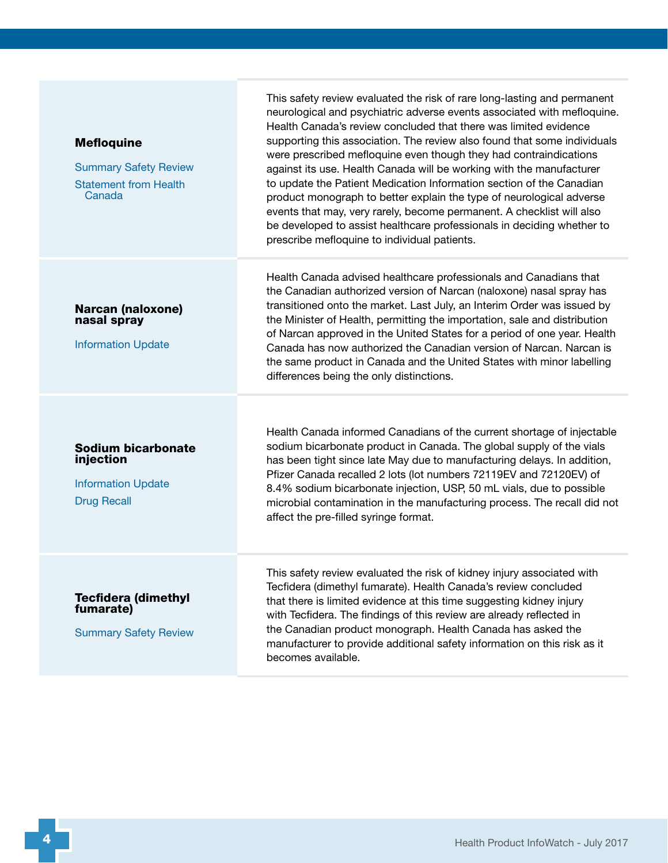<span id="page-3-3"></span><span id="page-3-2"></span><span id="page-3-1"></span><span id="page-3-0"></span>**Mefloquine** [Summary Safety Review](https://hpr-rps.hres.ca/reg-content/summary-safety-review-detail.php?linkID=SSR00161) [Statement from Health](https://www.canada.ca/en/health-canada/news/2017/06/heath_canada_hasnotfoundconclusiveevidencethatmefloquinecancause.html)  [Canada](https://www.canada.ca/en/health-canada/news/2017/06/heath_canada_hasnotfoundconclusiveevidencethatmefloquinecancause.html) supporting this association. The review also found that some individuals were prescribed mefloquine even though they had contraindications against its use. Health Canada will be working with the manufacturer to update the Patient Medication Information section of the Canadian product monograph to better explain the type of neurological adverse events that may, very rarely, become permanent. A checklist will also be developed to assist healthcare professionals in deciding whether to prescribe mefloquine to individual patients. Narcan (naloxone) nasal spray [Information Update](http://healthycanadians.gc.ca/recall-alert-rappel-avis/hc-sc/2017/63784a-eng.php) Health Canada advised healthcare professionals and Canadians that the Canadian authorized version of Narcan (naloxone) nasal spray has transitioned onto the market. Last July, an Interim Order was issued by the Minister of Health, permitting the importation, sale and distribution of Narcan approved in the United States for a period of one year. Health Canada has now authorized the Canadian version of Narcan. Narcan is the same product in Canada and the United States with minor labelling differences being the only distinctions. Sodium bicarbonate injection [Information Update](http://healthycanadians.gc.ca/recall-alert-rappel-avis/hc-sc/2017/63654a-eng.php) [Drug Recall](http://healthycanadians.gc.ca/recall-alert-rappel-avis/hc-sc/2017/63650r-eng.php) Health Canada informed Canadians of the current shortage of injectable sodium bicarbonate product in Canada. The global supply of the vials has been tight since late May due to manufacturing delays. In addition, Pfizer Canada recalled 2 lots (lot numbers 72119EV and 72120EV) of 8.4% sodium bicarbonate injection, USP, 50 mL vials, due to possible microbial contamination in the manufacturing process. The recall did not affect the pre-filled syringe format. Tecfidera (dimethyl fumarate) [Summary Safety Review](https://www.canada.ca/en/health-canada/services/drugs-health-products/medeffect-canada/safety-reviews/summary-safety-review-tecfidera-assessing-potential-risk-kidney-injury.html) This safety review evaluated the risk of kidney injury associated with Tecfidera (dimethyl fumarate). Health Canada's review concluded that there is limited evidence at this time suggesting kidney injury with Tecfidera. The findings of this review are already reflected in the Canadian product monograph. Health Canada has asked the manufacturer to provide additional safety information on this risk as it becomes available.

This safety review evaluated the risk of rare long-lasting and permanent neurological and psychiatric adverse events associated with mefloquine. Health Canada's review concluded that there was limited evidence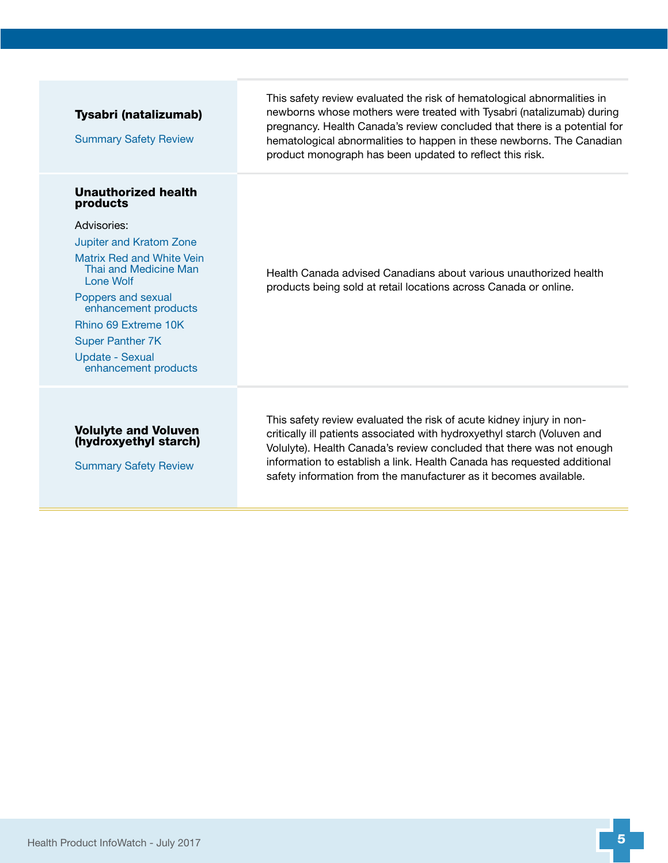<span id="page-4-2"></span><span id="page-4-1"></span><span id="page-4-0"></span>

| Tysabri (natalizumab)<br><b>Summary Safety Review</b>                                | This safety review evaluated the risk of hematological abnormalities in<br>newborns whose mothers were treated with Tysabri (natalizumab) during<br>pregnancy. Health Canada's review concluded that there is a potential for<br>hematological abnormalities to happen in these newborns. The Canadian<br>product monograph has been updated to reflect this risk.        |
|--------------------------------------------------------------------------------------|---------------------------------------------------------------------------------------------------------------------------------------------------------------------------------------------------------------------------------------------------------------------------------------------------------------------------------------------------------------------------|
| <b>Unauthorized health</b><br>products                                               |                                                                                                                                                                                                                                                                                                                                                                           |
| Advisories:                                                                          | Health Canada advised Canadians about various unauthorized health<br>products being sold at retail locations across Canada or online.                                                                                                                                                                                                                                     |
| <b>Jupiter and Kratom Zone</b>                                                       |                                                                                                                                                                                                                                                                                                                                                                           |
| Matrix Red and White Vein<br>Thai and Medicine Man<br>Lone Wolf                      |                                                                                                                                                                                                                                                                                                                                                                           |
| Poppers and sexual<br>enhancement products                                           |                                                                                                                                                                                                                                                                                                                                                                           |
| Rhino 69 Extreme 10K                                                                 |                                                                                                                                                                                                                                                                                                                                                                           |
| <b>Super Panther 7K</b>                                                              |                                                                                                                                                                                                                                                                                                                                                                           |
| <b>Update - Sexual</b><br>enhancement products                                       |                                                                                                                                                                                                                                                                                                                                                                           |
| <b>Volulyte and Voluven</b><br>(hydroxyethyl starch)<br><b>Summary Safety Review</b> | This safety review evaluated the risk of acute kidney injury in non-<br>critically ill patients associated with hydroxyethyl starch (Voluven and<br>Volulyte). Health Canada's review concluded that there was not enough<br>information to establish a link. Health Canada has requested additional<br>safety information from the manufacturer as it becomes available. |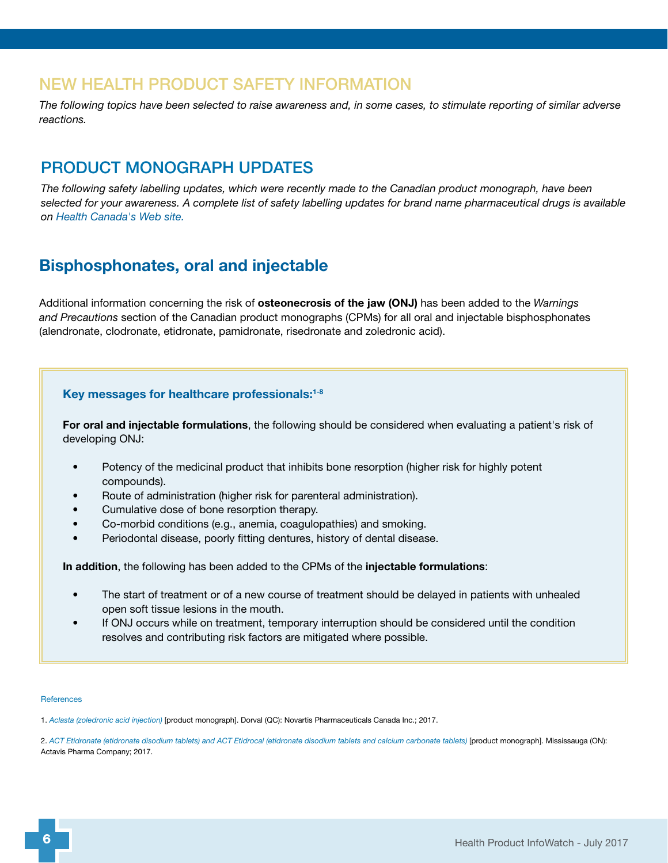## <span id="page-5-1"></span>NEW HEALTH PRODUCT SAFETY INFORMATION

*The following topics have been selected to raise awareness and, in some cases, to stimulate reporting of similar adverse reactions.*

## <span id="page-5-2"></span>PRODUCT MONOGRAPH UPDATES

*The following safety labelling updates, which were recently made to the Canadian product monograph, have been selected for your awareness. A complete list of safety labelling updates for brand name pharmaceutical drugs is available on [Health Canada's Web site](https://www.canada.ca/en/health-canada/services/drugs-health-products/drug-products/drug-product-database/label-safety-assessment-update/product-monograph-brand-safety-updates.html).*

## <span id="page-5-0"></span>Bisphosphonates, oral and injectable

Additional information concerning the risk of osteonecrosis of the jaw (ONJ) has been added to the *Warnings and Precautions* section of the Canadian product monographs (CPMs) for all oral and injectable bisphosphonates (alendronate, clodronate, etidronate, pamidronate, risedronate and zoledronic acid).

#### Key messages for healthcare professionals:1-8

For oral and injectable formulations, the following should be considered when evaluating a patient's risk of developing ONJ:

- Potency of the medicinal product that inhibits bone resorption (higher risk for highly potent compounds).
- Route of administration (higher risk for parenteral administration).
- Cumulative dose of bone resorption therapy.
- Co-morbid conditions (e.g., anemia, coagulopathies) and smoking.
- Periodontal disease, poorly fitting dentures, history of dental disease.

In addition, the following has been added to the CPMs of the injectable formulations:

- The start of treatment or of a new course of treatment should be delayed in patients with unhealed open soft tissue lesions in the mouth.
- If ONJ occurs while on treatment, temporary interruption should be considered until the condition resolves and contributing risk factors are mitigated where possible.

#### References

1. *[Aclasta \(zoledronic acid injection\)](https://health-products.canada.ca/dpd-bdpp/index-eng.jsp)* [product monograph]. Dorval (QC): Novartis Pharmaceuticals Canada Inc.; 2017.

2. *[ACT Etidronate \(etidronate disodium tablets\) and ACT Etidrocal \(etidronate disodium tablets and calcium carbonate tablets\)](https://health-products.canada.ca/dpd-bdpp/index-eng.jsp)* [product monograph]. Mississauga (ON): Actavis Pharma Company; 2017.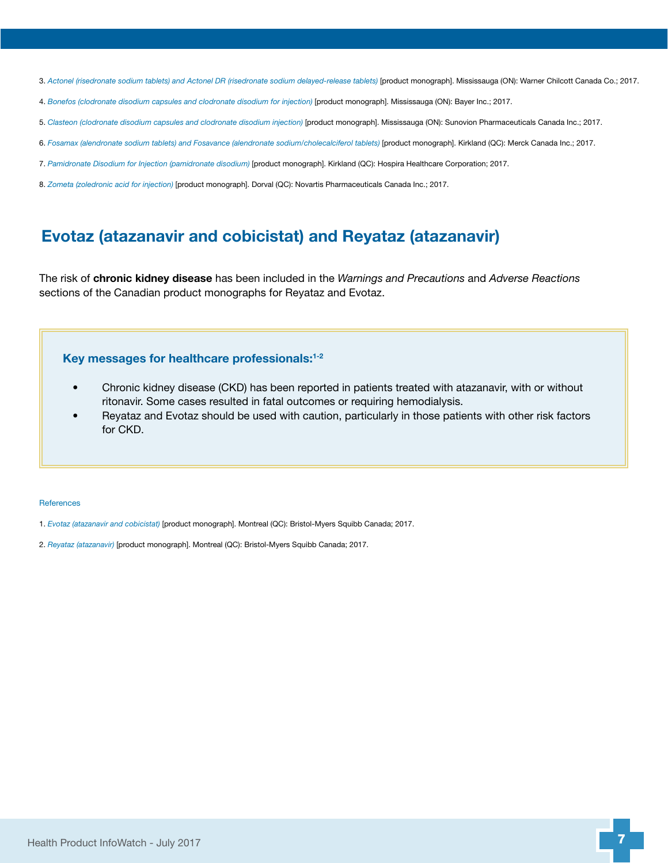- 3. *[Actonel \(risedronate sodium tablets\) and Actonel DR \(risedronate sodium delayed-release tablets\)](https://health-products.canada.ca/dpd-bdpp/index-eng.jsp)* [product monograph]. Mississauga (ON): Warner Chilcott Canada Co.; 2017.
- 4. *[Bonefos \(clodronate disodium capsules and clodronate disodium for injection\)](https://health-products.canada.ca/dpd-bdpp/index-eng.jsp)* [product monograph]. Mississauga (ON): Bayer Inc.; 2017.
- 5. *[Clasteon \(clodronate disodium capsules and clodronate disodium injection\)](https://health-products.canada.ca/dpd-bdpp/index-eng.jsp)* [product monograph]. Mississauga (ON): Sunovion Pharmaceuticals Canada Inc.; 2017.
- 6. *[Fosamax \(alendronate sodium tablets\) and Fosavance \(alendronate sodium/cholecalciferol tablets\)](https://health-products.canada.ca/dpd-bdpp/index-eng.jsp)* [product monograph]. Kirkland (QC): Merck Canada Inc.; 2017.
- 7. *[Pamidronate Disodium for Injection \(pamidronate disodium\)](https://health-products.canada.ca/dpd-bdpp/index-eng.jsp)* [product monograph]. Kirkland (QC): Hospira Healthcare Corporation; 2017.
- 8. *[Zometa \(zoledronic acid for injection\)](https://health-products.canada.ca/dpd-bdpp/index-eng.jsp)* [product monograph]. Dorval (QC): Novartis Pharmaceuticals Canada Inc.; 2017.

### <span id="page-6-0"></span>Evotaz (atazanavir and cobicistat) and Reyataz (atazanavir)

The risk of chronic kidney disease has been included in the *Warnings and Precautions* and *Adverse Reactions* sections of the Canadian product monographs for Reyataz and Evotaz.

#### Key messages for healthcare professionals:1-2

- Chronic kidney disease (CKD) has been reported in patients treated with atazanavir, with or without ritonavir. Some cases resulted in fatal outcomes or requiring hemodialysis.
- Reyataz and Evotaz should be used with caution, particularly in those patients with other risk factors for CKD.

#### **References**

- 1. *[Evotaz \(atazanavir and cobicistat\)](https://health-products.canada.ca/dpd-bdpp/index-eng.jsp)* [product monograph]. Montreal (QC): Bristol-Myers Squibb Canada; 2017.
- 2. *[Reyataz \(atazanavir\)](https://health-products.canada.ca/dpd-bdpp/index-eng.jsp)* [product monograph]. Montreal (QC): Bristol-Myers Squibb Canada; 2017.